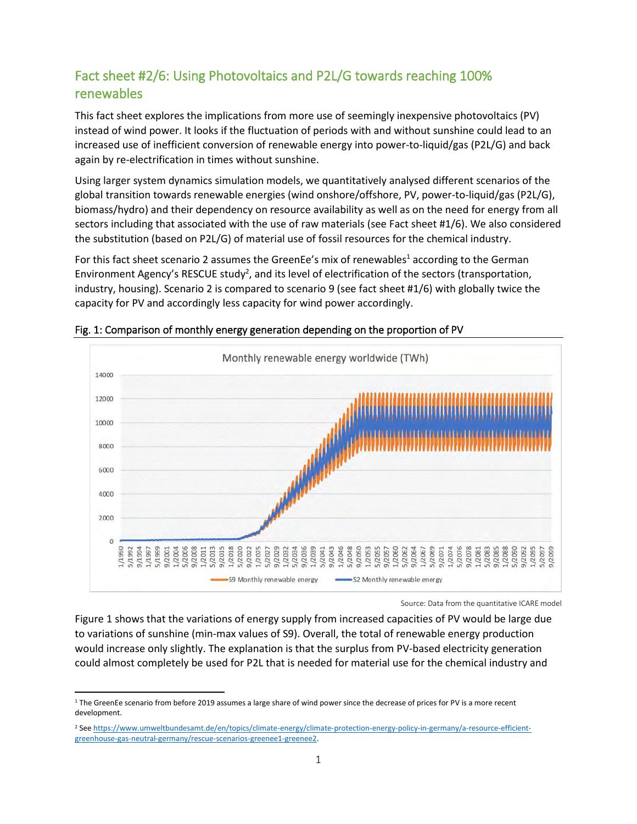## Fact sheet #2/6: Using Photovoltaics and P2L/G towards reaching 100% renewables

This fact sheet explores the implications from more use of seemingly inexpensive photovoltaics (PV) instead of wind power. It looks if the fluctuation of periods with and without sunshine could lead to an increased use of inefficient conversion of renewable energy into power-to-liquid/gas (P2L/G) and back again by re-electrification in times without sunshine.

Using larger system dynamics simulation models, we quantitatively analysed different scenarios of the global transition towards renewable energies (wind onshore/offshore, PV, power-to-liquid/gas (P2L/G), biomass/hydro) and their dependency on resource availability as well as on the need for energy from all sectors including that associated with the use of raw materials (see Fact sheet #1/6). We also considered the substitution (based on P2L/G) of material use of fossil resources for the chemical industry.

For this fact sheet scenario 2 assumes the GreenEe's mix of renewables<sup>1</sup> according to the German Environment Agency's RESCUE study<sup>2</sup>, and its level of electrification of the sectors (transportation, industry, housing). Scenario 2 is compared to scenario 9 (see fact sheet #1/6) with globally twice the capacity for PV and accordingly less capacity for wind power accordingly.



## Fig. 1: Comparison of monthly energy generation depending on the proportion of PV

Source: Data from the quantitative ICARE model

Figure 1 shows that the variations of energy supply from increased capacities of PV would be large due to variations of sunshine (min-max values of S9). Overall, the total of renewable energy production would increase only slightly. The explanation is that the surplus from PV-based electricity generation could almost completely be used for P2L that is needed for material use for the chemical industry and

<sup>&</sup>lt;sup>1</sup> The GreenEe scenario from before 2019 assumes a large share of wind power since the decrease of prices for PV is a more recent development.

<sup>2</sup> Se[e https://www.umweltbundesamt.de/en/topics/climate-energy/climate-protection-energy-policy-in-germany/a-resource-efficient](https://www.umweltbundesamt.de/en/topics/climate-energy/climate-protection-energy-policy-in-germany/a-resource-efficient-greenhouse-gas-neutral-germany/rescue-scenarios-greenee1-greenee2)[greenhouse-gas-neutral-germany/rescue-scenarios-greenee1-greenee2.](https://www.umweltbundesamt.de/en/topics/climate-energy/climate-protection-energy-policy-in-germany/a-resource-efficient-greenhouse-gas-neutral-germany/rescue-scenarios-greenee1-greenee2)